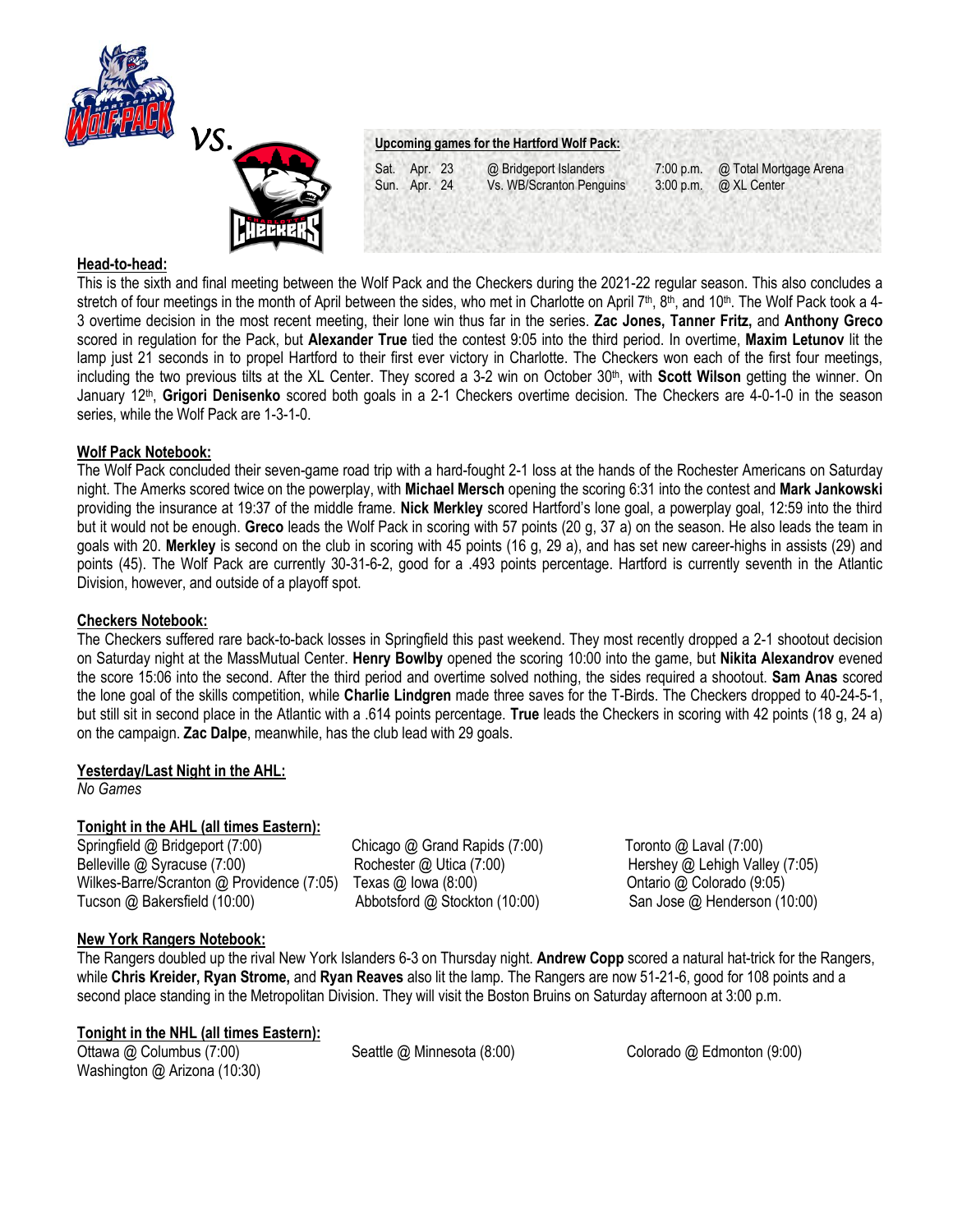



Vs. WB/Scranton Penguins 3:00 p.m. @ XL Center

Sat. Apr. 23 @ Bridgeport Islanders 7:00 p.m. @ Total Mortgage Arena<br>Sun. Apr. 24 Vs. WB/Scranton Penguins 3:00 p.m. @ XL Center

### **Head-to-head:**

This is the sixth and final meeting between the Wolf Pack and the Checkers during the 2021-22 regular season. This also concludes a stretch of four meetings in the month of April between the sides, who met in Charlotte on April  $7<sup>th</sup>$ , 8<sup>th</sup>, and 10<sup>th</sup>. The Wolf Pack took a 4-3 overtime decision in the most recent meeting, their lone win thus far in the series. **Zac Jones, Tanner Fritz,** and **Anthony Greco**  scored in regulation for the Pack, but **Alexander True** tied the contest 9:05 into the third period. In overtime, **Maxim Letunov** lit the lamp just 21 seconds in to propel Hartford to their first ever victory in Charlotte. The Checkers won each of the first four meetings, including the two previous tilts at the XL Center. They scored a 3-2 win on October 30th, with **Scott Wilson** getting the winner. On January 12<sup>th</sup>, Grigori Denisenko scored both goals in a 2-1 Checkers overtime decision. The Checkers are 4-0-1-0 in the season series, while the Wolf Pack are 1-3-1-0.

### **Wolf Pack Notebook:**

The Wolf Pack concluded their seven-game road trip with a hard-fought 2-1 loss at the hands of the Rochester Americans on Saturday night. The Amerks scored twice on the powerplay, with **Michael Mersch** opening the scoring 6:31 into the contest and **Mark Jankowski**  providing the insurance at 19:37 of the middle frame. **Nick Merkley** scored Hartford's lone goal, a powerplay goal, 12:59 into the third but it would not be enough. **Greco** leads the Wolf Pack in scoring with 57 points (20 g, 37 a) on the season. He also leads the team in goals with 20. **Merkley** is second on the club in scoring with 45 points (16 g, 29 a), and has set new career-highs in assists (29) and points (45). The Wolf Pack are currently 30-31-6-2, good for a .493 points percentage. Hartford is currently seventh in the Atlantic Division, however, and outside of a playoff spot.

### **Checkers Notebook:**

The Checkers suffered rare back-to-back losses in Springfield this past weekend. They most recently dropped a 2-1 shootout decision on Saturday night at the MassMutual Center. **Henry Bowlby** opened the scoring 10:00 into the game, but **Nikita Alexandrov** evened the score 15:06 into the second. After the third period and overtime solved nothing, the sides required a shootout. **Sam Anas** scored the lone goal of the skills competition, while **Charlie Lindgren** made three saves for the T-Birds. The Checkers dropped to 40-24-5-1, but still sit in second place in the Atlantic with a .614 points percentage. **True** leads the Checkers in scoring with 42 points (18 g, 24 a) on the campaign. **Zac Dalpe**, meanwhile, has the club lead with 29 goals.

# **Yesterday/Last Night in the AHL:**

*No Games* 

## **Tonight in the AHL (all times Eastern):**

Springfield @ Bridgeport (7:00) Chicago @ Grand Rapids (7:00) Toronto @ Laval (7:00) Belleville @ Syracuse (7:00) Rochester @ Utica (7:00) Hershey @ Lehigh Valley (7:05) Wilkes-Barre/Scranton @ Providence (7:05) Texas @ Iowa (8:00) Contario @ Colorado (9:05) Tucson @ Bakersfield (10:00) Abbotsford @ Stockton (10:00) San Jose @ Henderson (10:00)

## **New York Rangers Notebook:**

The Rangers doubled up the rival New York Islanders 6-3 on Thursday night. **Andrew Copp** scored a natural hat-trick for the Rangers, while **Chris Kreider, Ryan Strome,** and **Ryan Reaves** also lit the lamp. The Rangers are now 51-21-6, good for 108 points and a second place standing in the Metropolitan Division. They will visit the Boston Bruins on Saturday afternoon at 3:00 p.m.

### **Tonight in the NHL (all times Eastern):**

Washington @ Arizona (10:30)

Ottawa @ Columbus (7:00) Seattle @ Minnesota (8:00) Colorado @ Edmonton (9:00)